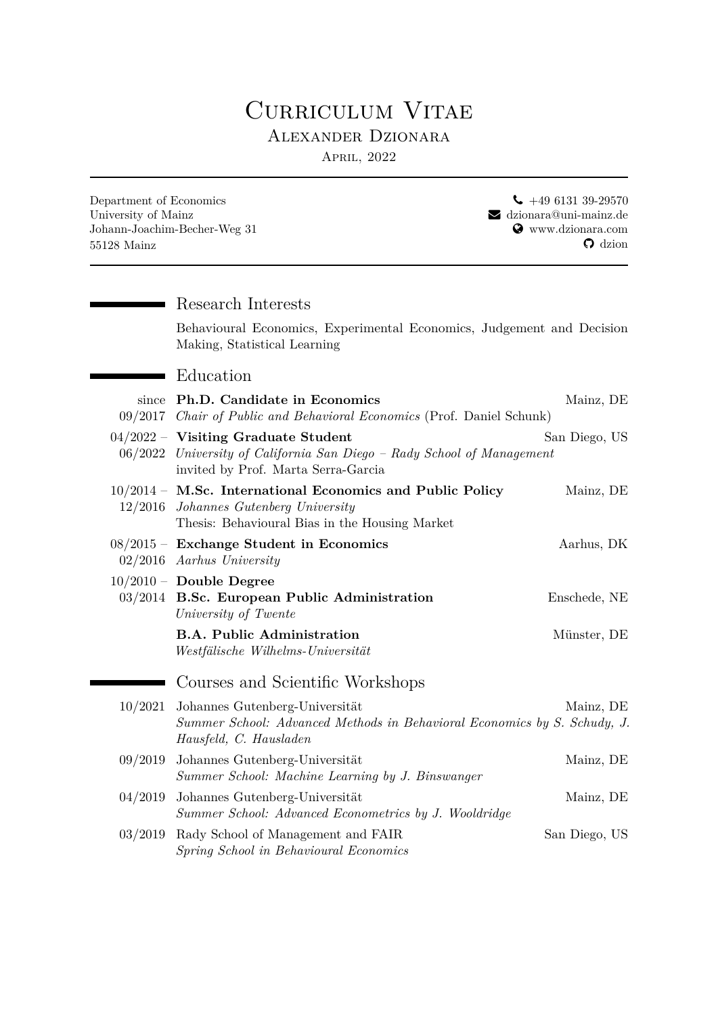## CURRICULUM VITAE Alexander Dzionara

April, 2022

| Department of Economics<br>University of Mainz<br>$55128$ Mainz | Johann-Joachim-Becher-Weg 31                                                                                                                                            | $\leftarrow$ +49 6131 39-29570<br>$\blacktriangleright$ dzionara@uni-mainz.de<br>Www.dzionara.com<br>$\Omega$ dzion |
|-----------------------------------------------------------------|-------------------------------------------------------------------------------------------------------------------------------------------------------------------------|---------------------------------------------------------------------------------------------------------------------|
|                                                                 | Research Interests                                                                                                                                                      |                                                                                                                     |
|                                                                 | Behavioural Economics, Experimental Economics, Judgement and Decision<br>Making, Statistical Learning                                                                   |                                                                                                                     |
|                                                                 | Education                                                                                                                                                               |                                                                                                                     |
| since                                                           | Ph.D. Candidate in Economics<br>09/2017 Chair of Public and Behavioral Economics (Prof. Daniel Schunk)                                                                  | Mainz, DE                                                                                                           |
|                                                                 | $04/2022$ – Visiting Graduate Student<br>San Diego, US<br>06/2022 University of California San Diego - Rady School of Management<br>invited by Prof. Marta Serra-Garcia |                                                                                                                     |
|                                                                 | $10/2014$ – M.Sc. International Economics and Public Policy<br>12/2016 Johannes Gutenberg University<br>Thesis: Behavioural Bias in the Housing Market                  | Mainz, DE                                                                                                           |
|                                                                 | $08/2015$ – Exchange Student in Economics<br>$02/2016$ Aarhus University                                                                                                | Aarhus, DK                                                                                                          |
|                                                                 | $10/2010$ – Double Degree<br>03/2014 B.Sc. European Public Administration<br>University of Twente                                                                       | Enschede, NE                                                                                                        |
|                                                                 | <b>B.A. Public Administration</b><br>Westfälische Wilhelms-Universität                                                                                                  | Münster, DE                                                                                                         |
|                                                                 | Courses and Scientific Workshops                                                                                                                                        |                                                                                                                     |
| 10/2021                                                         | Johannes Gutenberg-Universität<br>Summer School: Advanced Methods in Behavioral Economics by S. Schudy, J.<br>Hausfeld, C. Hausladen                                    | Mainz, DE                                                                                                           |
| 09/2019                                                         | Johannes Gutenberg-Universität<br>Summer School: Machine Learning by J. Binswanger                                                                                      | Mainz, DE                                                                                                           |
| 04/2019                                                         | Johannes Gutenberg-Universität<br>Summer School: Advanced Econometrics by J. Wooldridge                                                                                 | Mainz, DE                                                                                                           |
| 03/2019                                                         | Rady School of Management and FAIR<br>Spring School in Behavioural Economics                                                                                            | San Diego, US                                                                                                       |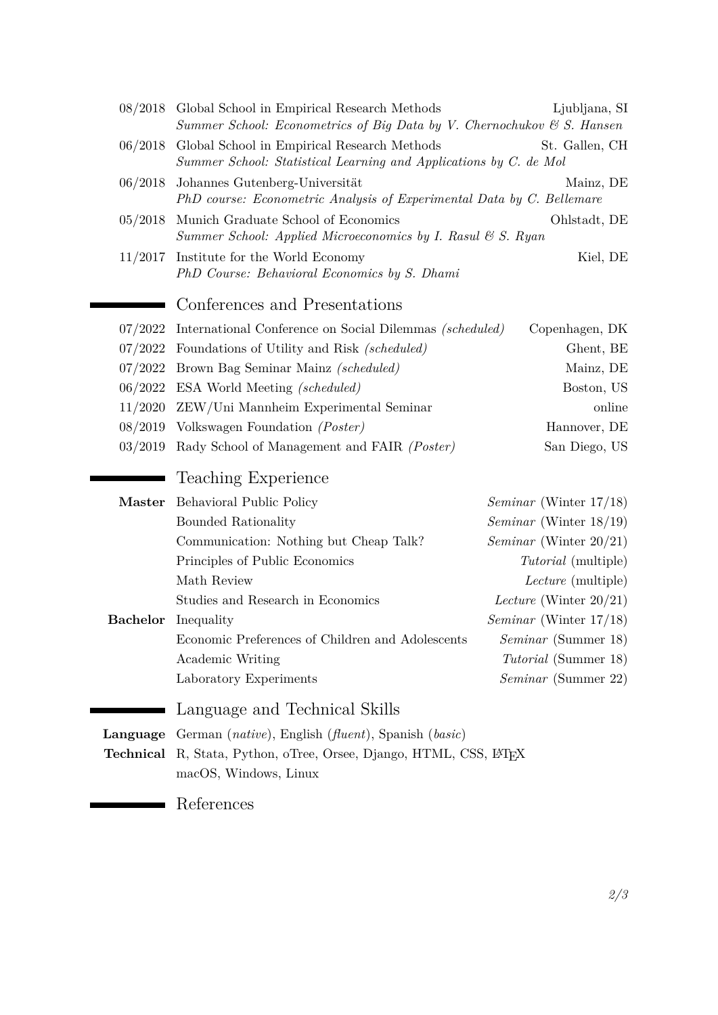<span id="page-1-0"></span>

|                 | 08/2018 Global School in Empirical Research Methods<br>Summer School: Econometrics of Big Data by V. Chernochukov $\mathcal C$ S. Hansen | Ljubljana, SI                    |  |
|-----------------|------------------------------------------------------------------------------------------------------------------------------------------|----------------------------------|--|
| 06/2018         | Global School in Empirical Research Methods<br>St. Gallen, CH<br>Summer School: Statistical Learning and Applications by C. de Mol       |                                  |  |
| 06/2018         | Johannes Gutenberg-Universität<br>PhD course: Econometric Analysis of Experimental Data by C. Bellemare                                  | Mainz, DE                        |  |
| 05/2018         | Munich Graduate School of Economics<br>Ohlstadt, DE<br>Summer School: Applied Microeconomics by I. Rasul & S. Ryan                       |                                  |  |
| 11/2017         | Institute for the World Economy<br>PhD Course: Behavioral Economics by S. Dhami                                                          | Kiel, DE                         |  |
|                 | Conferences and Presentations                                                                                                            |                                  |  |
| 07/2022         | International Conference on Social Dilemmas (scheduled)                                                                                  | Copenhagen, DK                   |  |
| 07/2022         | Foundations of Utility and Risk (scheduled)<br>Ghent, BE                                                                                 |                                  |  |
| 07/2022         | Brown Bag Seminar Mainz (scheduled)                                                                                                      | Mainz, DE                        |  |
| 06/2022         | <b>ESA</b> World Meeting <i>(scheduled)</i>                                                                                              | Boston, US                       |  |
| 11/2020         | ZEW/Uni Mannheim Experimental Seminar                                                                                                    | online                           |  |
| 08/2019         | Volkswagen Foundation (Poster)                                                                                                           | Hannover, DE                     |  |
| 03/2019         | Rady School of Management and FAIR (Poster)                                                                                              | San Diego, US                    |  |
|                 | Teaching Experience                                                                                                                      |                                  |  |
| Master          | Behavioral Public Policy                                                                                                                 | <i>Seminar</i> (Winter $17/18$ ) |  |
|                 | Bounded Rationality                                                                                                                      | <i>Seminar</i> (Winter $18/19$ ) |  |
|                 | Communication: Nothing but Cheap Talk?                                                                                                   | <i>Seminar</i> (Winter $20/21$ ) |  |
|                 | Principles of Public Economics                                                                                                           | <i>Tutorial</i> (multiple)       |  |
|                 | Math Review                                                                                                                              | <i>Lecture</i> (multiple)        |  |
|                 | Studies and Research in Economics                                                                                                        | Lecture (Winter $20/21$ )        |  |
| <b>Bachelor</b> | Inequality                                                                                                                               | <i>Seminar</i> (Winter $17/18$ ) |  |
|                 | Economic Preferences of Children and Adolescents                                                                                         | <i>Seminar</i> (Summer 18)       |  |
|                 | Academic Writing                                                                                                                         | <i>Tutorial</i> (Summer 18)      |  |
|                 | Laboratory Experiments                                                                                                                   | <i>Seminar</i> (Summer 22)       |  |
|                 | Language and Technical Skills                                                                                                            |                                  |  |
|                 | Language German (native), English (fluent), Spanish (basic)                                                                              |                                  |  |
| Technical       | R, Stata, Python, oTree, Orsee, Django, HTML, CSS, L <sup>T</sup> FX                                                                     |                                  |  |
|                 | macOS, Windows, Linux                                                                                                                    |                                  |  |
|                 | References                                                                                                                               |                                  |  |